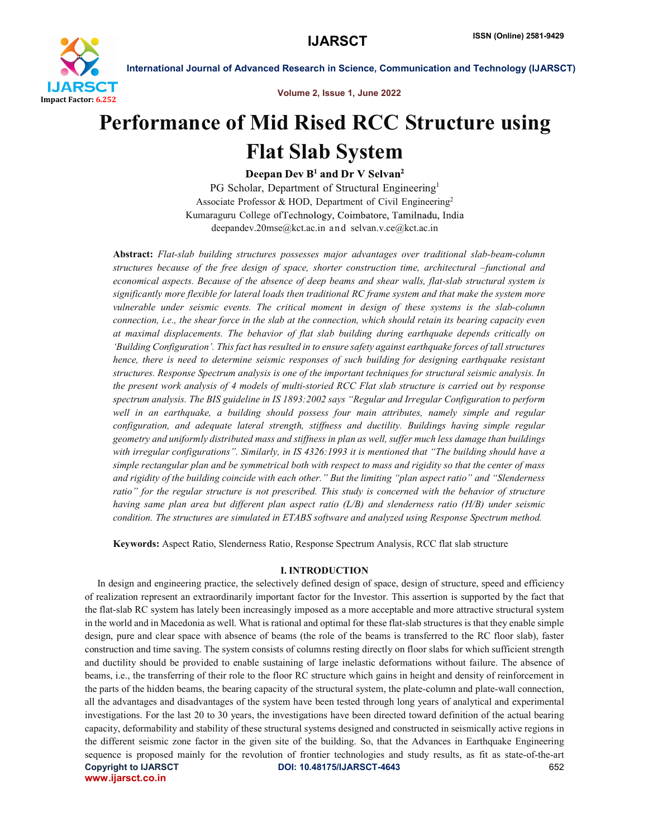

Volume 2, Issue 1, June 2022

# Performance of Mid Rised RCC Structure using Flat Slab System

Deepan Dev B<sup>1</sup> and Dr V Selvan<sup>2</sup>

PG Scholar, Department of Structural Engineering<sup>1</sup> Associate Professor & HOD, Department of Civil Engineering<sup>2</sup> Kumaraguru College ofTechnology, Coimbatore, Tamilnadu, India deepandev.20mse@kct.ac.in and selvan.v.ce@kct.ac.in

Abstract: *Flat-slab building structures possesses major advantages over traditional slab-beam-column structures because of the free design of space, shorter construction time, architectural –functional and economical aspects. Because of the absence of deep beams and shear walls, flat-slab structural system is significantly more flexible for lateral loads then traditional RC frame system and that make the system more vulnerable under seismic events. The critical moment in design of these systems is the slab-column connection, i.e., the shear force in the slab at the connection, which should retain its bearing capacity even at maximal displacements. The behavior of flat slab building during earthquake depends critically on 'Building Configuration'. This fact has resulted in to ensure safety against earthquake forces of tall structures hence, there is need to determine seismic responses of such building for designing earthquake resistant structures. Response Spectrum analysis is one of the important techniques for structural seismic analysis. In the present work analysis of 4 models of multi-storied RCC Flat slab structure is carried out by response spectrum analysis. The BIS guideline in IS 1893:2002 says "Regular and Irregular Configuration to perform well in an earthquake, a building should possess four main attributes, namely simple and regular configuration, and adequate lateral strength, stiffness and ductility. Buildings having simple regular geometry and uniformly distributed mass and stiffness in plan as well, suffer much less damage than buildings*  with irregular configurations". Similarly, in IS 4326:1993 it is mentioned that "The building should have a *simple rectangular plan and be symmetrical both with respect to mass and rigidity so that the center of mass and rigidity of the building coincide with each other." But the limiting "plan aspect ratio" and "Slenderness ratio" for the regular structure is not prescribed. This study is concerned with the behavior of structure having same plan area but different plan aspect ratio (L/B) and slenderness ratio (H/B) under seismic condition. The structures are simulated in ETABS software and analyzed using Response Spectrum method.*

Keywords: Aspect Ratio, Slenderness Ratio, Response Spectrum Analysis, RCC flat slab structure

#### I. INTRODUCTION

Copyright to IJARSCT DOI: 10.48175/IJARSCT-4643 652 www.ijarsct.co.in In design and engineering practice, the selectively defined design of space, design of structure, speed and efficiency of realization represent an extraordinarily important factor for the Investor. This assertion is supported by the fact that the flat-slab RC system has lately been increasingly imposed as a more acceptable and more attractive structural system in the world and in Macedonia as well. What is rational and optimal for these flat-slab structures is that they enable simple design, pure and clear space with absence of beams (the role of the beams is transferred to the RC floor slab), faster construction and time saving. The system consists of columns resting directly on floor slabs for which sufficient strength and ductility should be provided to enable sustaining of large inelastic deformations without failure. The absence of beams, i.e., the transferring of their role to the floor RC structure which gains in height and density of reinforcement in the parts of the hidden beams, the bearing capacity of the structural system, the plate-column and plate-wall connection, all the advantages and disadvantages of the system have been tested through long years of analytical and experimental investigations. For the last 20 to 30 years, the investigations have been directed toward definition of the actual bearing capacity, deformability and stability of these structural systems designed and constructed in seismically active regions in the different seismic zone factor in the given site of the building. So, that the Advances in Earthquake Engineering sequence is proposed mainly for the revolution of frontier technologies and study results, as fit as state-of-the-art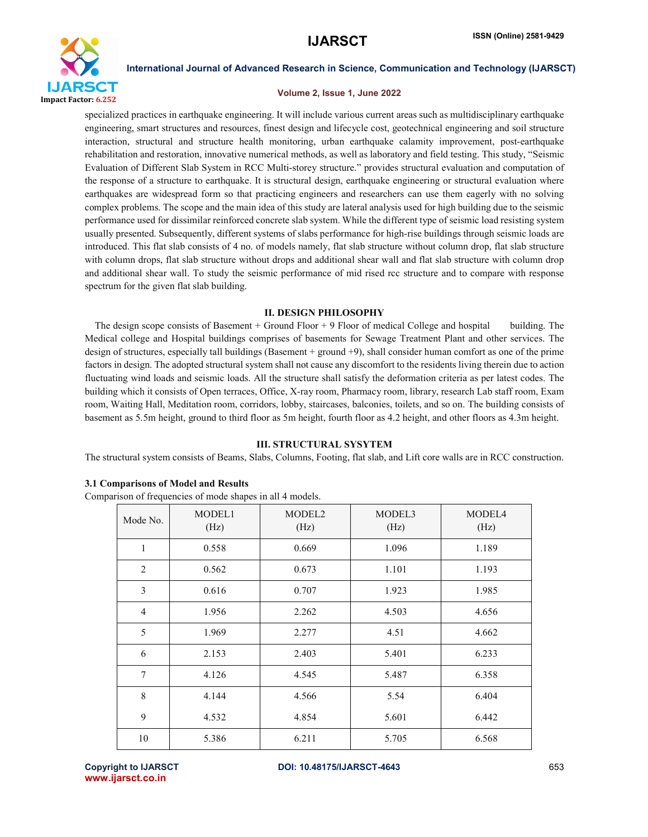

#### Volume 2, Issue 1, June 2022

specialized practices in earthquake engineering. It will include various current areas such as multidisciplinary earthquake engineering, smart structures and resources, finest design and lifecycle cost, geotechnical engineering and soil structure interaction, structural and structure health monitoring, urban earthquake calamity improvement, post-earthquake rehabilitation and restoration, innovative numerical methods, as well as laboratory and field testing. This study, "Seismic Evaluation of Different Slab System in RCC Multi-storey structure." provides structural evaluation and computation of the response of a structure to earthquake. It is structural design, earthquake engineering or structural evaluation where earthquakes are widespread form so that practicing engineers and researchers can use them eagerly with no solving complex problems. The scope and the main idea of this study are lateral analysis used for high building due to the seismic performance used for dissimilar reinforced concrete slab system. While the different type of seismic load resisting system usually presented. Subsequently, different systems of slabs performance for high-rise buildings through seismic loads are introduced. This flat slab consists of 4 no. of models namely, flat slab structure without column drop, flat slab structure with column drops, flat slab structure without drops and additional shear wall and flat slab structure with column drop and additional shear wall. To study the seismic performance of mid rised rcc structure and to compare with response spectrum for the given flat slab building.

#### II. DESIGN PHILOSOPHY

 The design scope consists of Basement + Ground Floor + 9 Floor of medical College and hospital building. The Medical college and Hospital buildings comprises of basements for Sewage Treatment Plant and other services. The design of structures, especially tall buildings (Basement + ground +9), shall consider human comfort as one of the prime factors in design. The adopted structural system shall not cause any discomfort to the residents living therein due to action fluctuating wind loads and seismic loads. All the structure shall satisfy the deformation criteria as per latest codes. The building which it consists of Open terraces, Office, X-ray room, Pharmacy room, library, research Lab staff room, Exam room, Waiting Hall, Meditation room, corridors, lobby, staircases, balconies, toilets, and so on. The building consists of basement as 5.5m height, ground to third floor as 5m height, fourth floor as 4.2 height, and other floors as 4.3m height.

#### III. STRUCTURAL SYSYTEM

The structural system consists of Beams, Slabs, Columns, Footing, flat slab, and Lift core walls are in RCC construction.

#### 3.1 Comparisons of Model and Results

Comparison of frequencies of mode shapes in all 4 models.

| Mode No.       | MODEL1<br>(Hz) | MODEL <sub>2</sub><br>(Hz) | MODEL3<br>(Hz) | MODEL4<br>(Hz) |
|----------------|----------------|----------------------------|----------------|----------------|
| $\mathbf{1}$   | 0.558          | 0.669                      | 1.096          | 1.189          |
| 2              | 0.562          | 0.673                      | 1.101          | 1.193          |
| 3              | 0.616          | 0.707                      | 1.923          | 1.985          |
| $\overline{4}$ | 1.956          | 2.262                      | 4.503          | 4.656          |
| 5              | 1.969          | 2.277                      | 4.51           | 4.662          |
| 6              | 2.153          | 2.403                      | 5.401          | 6.233          |
| 7              | 4.126          | 4.545                      | 5.487          | 6.358          |
| 8              | 4.144          | 4.566                      | 5.54           | 6.404          |
| 9              | 4.532          | 4.854                      | 5.601          | 6.442          |
| 10             | 5.386          | 6.211                      | 5.705          | 6.568          |

www.ijarsct.co.in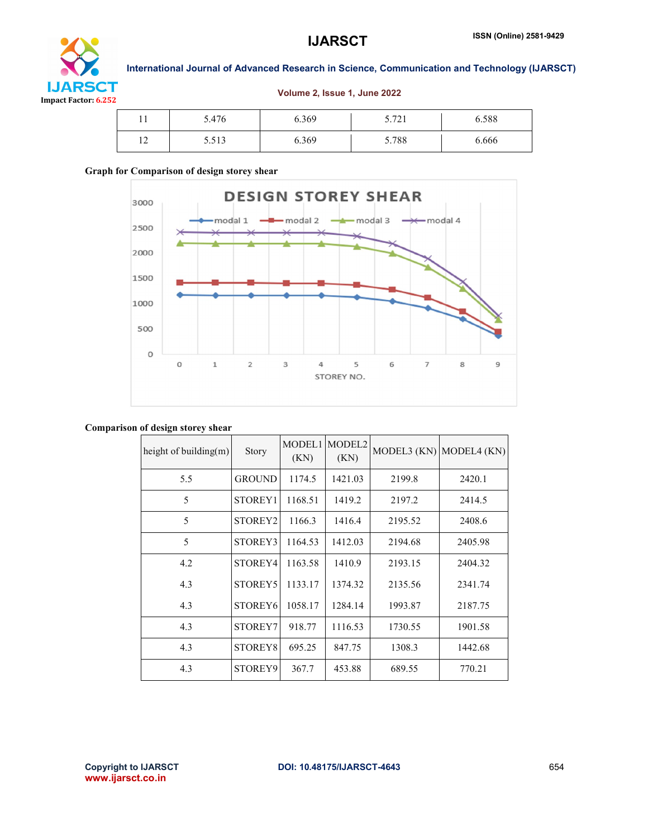

Volume 2, Issue 1, June 2022

| . |             |       |       |       |       |
|---|-------------|-------|-------|-------|-------|
|   | 11          | 5.476 | 6.369 | 5.721 | 6.588 |
|   | $\sim$<br>∸ | 5.513 | 6.369 | 5.788 | 6.666 |

### Graph for Comparison of design storey shear



#### Comparison of design storey shear

| height of building(m) | Story               | MODEL1<br>(KN) | MODEL <sub>2</sub><br>(KN) |         | MODEL3 $(KN)$ MODEL4 $(KN)$ |
|-----------------------|---------------------|----------------|----------------------------|---------|-----------------------------|
| 5.5                   | <b>GROUND</b>       | 1174.5         | 1421.03                    | 2199.8  | 2420.1                      |
| 5                     | STOREY1             | 1168.51        | 1419.2                     | 2197.2  | 2414.5                      |
| 5                     | STOREY <sub>2</sub> | 1166.3         | 1416.4                     | 2195.52 | 2408.6                      |
| 5                     | STOREY3             | 1164.53        | 1412.03                    | 2194.68 | 2405.98                     |
| 4.2                   | STOREY4             | 1163.58        | 1410.9                     | 2193.15 | 2404.32                     |
| 4.3                   | STOREY5             | 1133.17        | 1374.32                    | 2135.56 | 2341.74                     |
| 4.3                   | STOREY <sub>6</sub> | 1058.17        | 1284.14                    | 1993.87 | 2187.75                     |
| 4.3                   | STOREY7             | 918.77         | 1116.53                    | 1730.55 | 1901.58                     |
| 4.3                   | STOREY8             | 695.25         | 847.75                     | 1308.3  | 1442.68                     |
| 4.3                   | STOREY9             | 367.7          | 453.88                     | 689.55  | 770.21                      |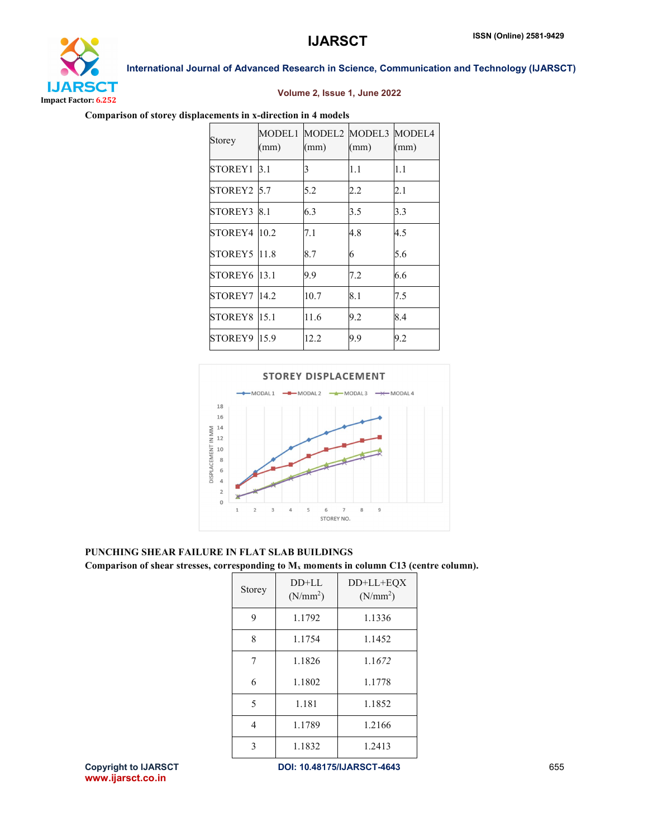

#### Volume 2, Issue 1, June 2022

International Journal of Advanced Research in Science, Communication and Technology (IJARSCT)

#### Comparison of storey displacements in x-direction in 4 models

| Storey              | (mm) | MODEL1 MODEL2 MODEL3 MODEL4<br>(mm) | (mm) | (mm) |
|---------------------|------|-------------------------------------|------|------|
| STOREY1 3.1         |      | 3                                   | 1.1  | 1.1  |
| STOREY2 5.7         |      | 5.2                                 | 2.2  | 2.1  |
| STOREY3 8.1         |      | 6.3                                 | 3.5  | 3.3  |
| STOREY4             | 10.2 | 7.1                                 | 4.8  | 4.5  |
| STOREY5 11.8        |      | 8.7                                 | 6    | 5.6  |
| STOREY6 13.1        |      | 9.9                                 | 7.2  | 6.6  |
| <b>STOREY7 14.2</b> |      | 10.7                                | 8.1  | 7.5  |
| STOREY8 15.1        |      | 11.6                                | 9.2  | 8.4  |
| STOREY9 15.9        |      | 12.2                                | 9.9  | 9.2  |



## PUNCHING SHEAR FAILURE IN FLAT SLAB BUILDINGS

Comparison of shear stresses, corresponding to Mx moments in column C13 (centre column).

| Storey | $DD+LL$<br>(N/mm <sup>2</sup> ) | $DD+LL+EQX$<br>(N/mm <sup>2</sup> ) |
|--------|---------------------------------|-------------------------------------|
| 9      | 1.1792                          | 1.1336                              |
| 8      | 1.1754                          | 1.1452                              |
| 7      | 1.1826                          | 1.1672                              |
| 6      | 1.1802                          | 1.1778                              |
| 5      | 1.181                           | 1.1852                              |
| 4      | 1.1789                          | 1.2166                              |
| 3      | 1.1832                          | 1.2413                              |

Copyright to IJARSCT **DOI: 10.48175/IJARSCT-4643** 655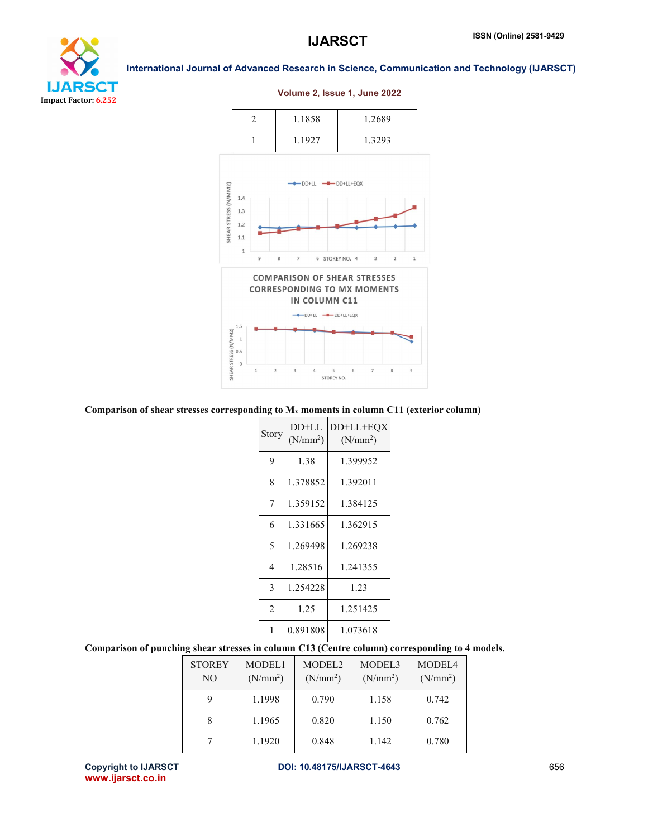

#### 2 1.1858 1.2689 1 1.1927 1.3293  $\n *DD+LL*\n *--ID-D+LL+EQX*$ SHEAR STRESS (N/MM2)  $1.4$  $1.3\,$  $1.2$  $1.1\,$  $\overline{1}$  $\overline{7}$ 6 STOREY NO. 4  $\overline{\mathbf{3}}$  $\overline{2}$  $\mathbf{1}$ **COMPARISON OF SHEAR STRESSES CORRESPONDING TO MX MOMENTS** IN COLUMN C11 DD+LL -DD+LL+EQX  $1.5\,$ SHEAR STRESS (N/MM2)  $\,1\,$  $0.5$  $\,$  0  $\overline{5}$ STOREY NO.

#### Volume 2, Issue 1, June 2022



| Story         | $DD+LL$<br>(N/mm <sup>2</sup> ) | DD+LL+EQX<br>(N/mm <sup>2</sup> ) |  |  |
|---------------|---------------------------------|-----------------------------------|--|--|
| 9             | 1.38                            | 1.399952                          |  |  |
| 8             | 1.378852                        | 1.392011                          |  |  |
| 7             | 1.359152                        | 1.384125                          |  |  |
| 6             | 1.331665                        | 1.362915                          |  |  |
| 5             | 1.269498                        | 1.269238                          |  |  |
| 4             | 1.28516                         | 1.241355                          |  |  |
| 3             | 1.254228                        | 1.23                              |  |  |
| 2             | 1.25                            | 1.251425                          |  |  |
| 0.891808<br>1 |                                 | 1.073618                          |  |  |

#### Comparison of punching shear stresses in column C13 (Centre column) corresponding to 4 models.

| <b>STOREY</b><br>NO | MODEL1<br>(N/mm <sup>2</sup> ) | MODEL <sub>2</sub><br>(N/mm <sup>2</sup> ) | MODEL3<br>(N/mm <sup>2</sup> ) | MODEL4<br>(N/mm <sup>2</sup> ) |
|---------------------|--------------------------------|--------------------------------------------|--------------------------------|--------------------------------|
|                     | 1.1998                         | 0.790                                      | 1.158                          | 0.742                          |
|                     | 1.1965                         | 0.820                                      | 1.150                          | 0.762                          |
|                     | 1.1920                         | 0.848                                      | 1.142                          | 0.780                          |

www.ijarsct.co.in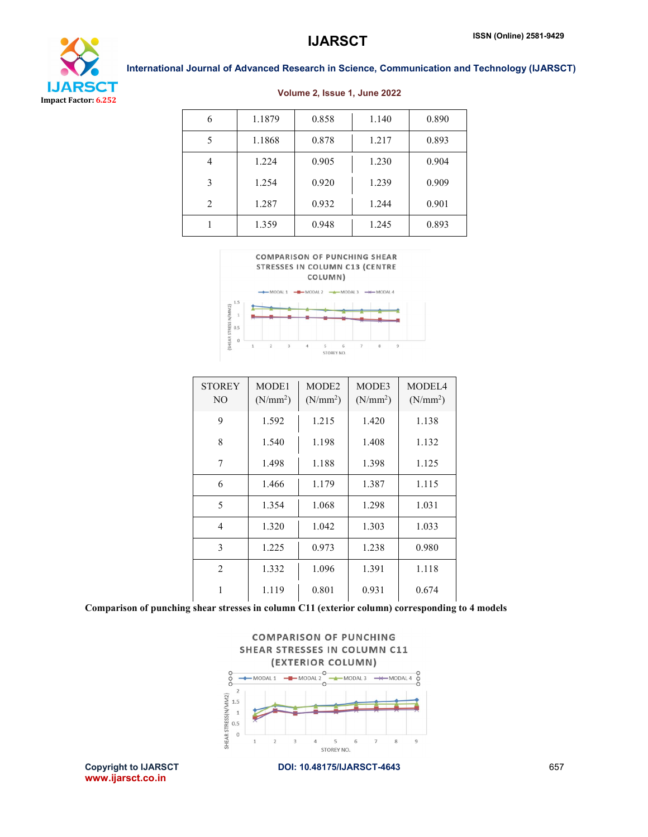



| 6 | 1.1879 | 0.858 | 1.140 | 0.890 |
|---|--------|-------|-------|-------|
| 5 | 1.1868 | 0.878 | 1.217 | 0.893 |
| 4 | 1.224  | 0.905 | 1.230 | 0.904 |
| 3 | 1.254  | 0.920 | 1.239 | 0.909 |
| 2 | 1.287  | 0.932 | 1.244 | 0.901 |
|   | 1.359  | 0.948 | 1.245 | 0.893 |

#### Volume 2, Issue 1, June 2022





| <b>STOREY</b><br>NO <sub>1</sub> | MODE1<br>(N/mm <sup>2</sup> ) | MODE <sub>2</sub><br>$(N/mm^2)$ | MODE3<br>(N/mm <sup>2</sup> ) | MODEL4<br>$(N/mm^2)$ |
|----------------------------------|-------------------------------|---------------------------------|-------------------------------|----------------------|
| 9                                | 1.592                         | 1.215                           | 1.420                         | 1.138                |
| 8                                | 1.540                         | 1.198                           | 1.408                         | 1.132                |
| 7                                | 1.498                         | 1.188                           | 1.398                         | 1.125                |
| 6                                | 1.466                         | 1.179                           | 1.387                         | 1.115                |
| 5                                | 1.354                         | 1.068                           | 1.298                         | 1.031                |
| $\overline{4}$                   | 1.320                         | 1.042                           | 1.303                         | 1.033                |
| 3                                | 1.225                         | 0.973                           | 1.238                         | 0.980                |
| $\overline{2}$                   | 1.332                         | 1.096                           | 1.391                         | 1.118                |
| 1                                | 1.119                         | 0.801                           | 0.931                         | 0.674                |

Comparison of punching shear stresses in column C11 (exterior column) corresponding to 4 models



Copyright to IJARSCT **DOI: 10.48175/IJARSCT-4643** 657 www.ijarsct.co.in